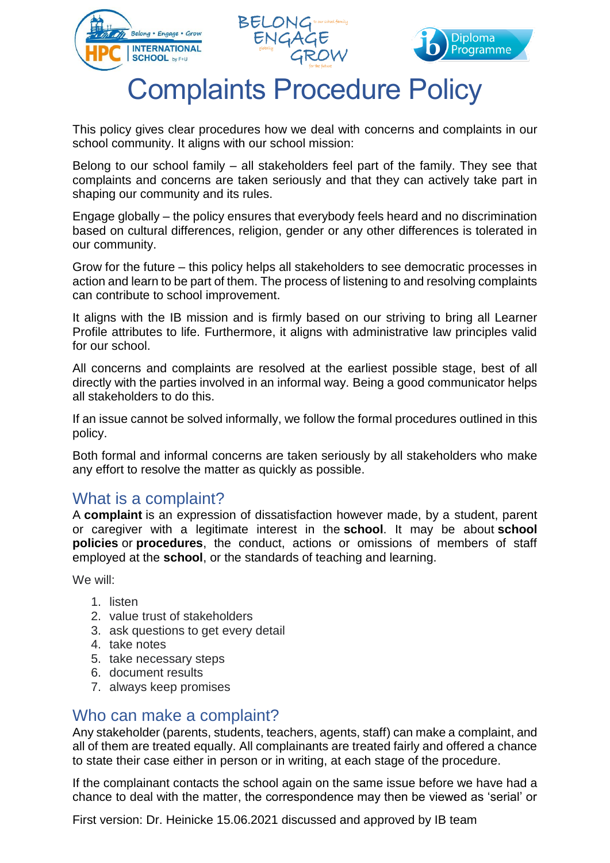





# Complaints Procedure Policy

This policy gives clear procedures how we deal with concerns and complaints in our school community. It aligns with our school mission:

Belong to our school family – all stakeholders feel part of the family. They see that complaints and concerns are taken seriously and that they can actively take part in shaping our community and its rules.

Engage globally – the policy ensures that everybody feels heard and no discrimination based on cultural differences, religion, gender or any other differences is tolerated in our community.

Grow for the future – this policy helps all stakeholders to see democratic processes in action and learn to be part of them. The process of listening to and resolving complaints can contribute to school improvement.

It aligns with the IB mission and is firmly based on our striving to bring all Learner Profile attributes to life. Furthermore, it aligns with administrative law principles valid for our school.

All concerns and complaints are resolved at the earliest possible stage, best of all directly with the parties involved in an informal way. Being a good communicator helps all stakeholders to do this.

If an issue cannot be solved informally, we follow the formal procedures outlined in this policy.

Both formal and informal concerns are taken seriously by all stakeholders who make any effort to resolve the matter as quickly as possible.

#### What is a complaint?

A **complaint** is an expression of dissatisfaction however made, by a student, parent or caregiver with a legitimate interest in the **school**. It may be about **school policies** or **procedures**, the conduct, actions or omissions of members of staff employed at the **school**, or the standards of teaching and learning.

We will:

- 1. listen
- 2. value trust of stakeholders
- 3. ask questions to get every detail
- 4. take notes
- 5. take necessary steps
- 6. document results
- 7. always keep promises

#### Who can make a complaint?

Any stakeholder (parents, students, teachers, agents, staff) can make a complaint, and all of them are treated equally. All complainants are treated fairly and offered a chance to state their case either in person or in writing, at each stage of the procedure.

If the complainant contacts the school again on the same issue before we have had a chance to deal with the matter, the correspondence may then be viewed as 'serial' or

First version: Dr. Heinicke 15.06.2021 discussed and approved by IB team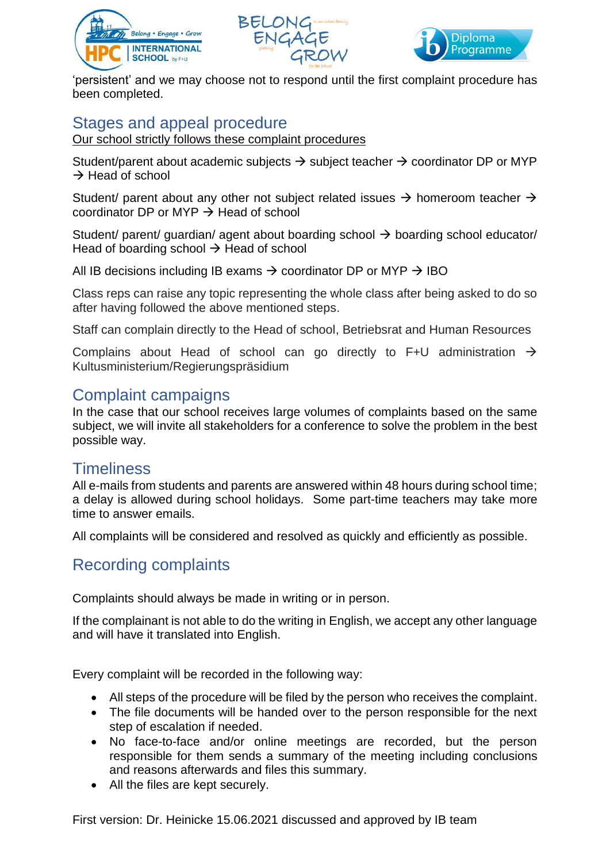





'persistent' and we may choose not to respond until the first complaint procedure has been completed.

# Stages and appeal procedure

Our school strictly follows these complaint procedures

Student/parent about academic subjects  $\rightarrow$  subject teacher  $\rightarrow$  coordinator DP or MYP  $\rightarrow$  Head of school

Student/ parent about any other not subject related issues  $\rightarrow$  homeroom teacher  $\rightarrow$ coordinator DP or MYP  $\rightarrow$  Head of school

Student/ parent/ guardian/ agent about boarding school  $\rightarrow$  boarding school educator/ Head of boarding school  $\rightarrow$  Head of school

All IB decisions including IB exams  $\rightarrow$  coordinator DP or MYP  $\rightarrow$  IBO

Class reps can raise any topic representing the whole class after being asked to do so after having followed the above mentioned steps.

Staff can complain directly to the Head of school, Betriebsrat and Human Resources

Complains about Head of school can go directly to F+U administration  $\rightarrow$ Kultusministerium/Regierungspräsidium

### Complaint campaigns

In the case that our school receives large volumes of complaints based on the same subject, we will invite all stakeholders for a conference to solve the problem in the best possible way.

#### **Timeliness**

All e-mails from students and parents are answered within 48 hours during school time; a delay is allowed during school holidays. Some part-time teachers may take more time to answer emails.

All complaints will be considered and resolved as quickly and efficiently as possible.

# Recording complaints

Complaints should always be made in writing or in person.

If the complainant is not able to do the writing in English, we accept any other language and will have it translated into English.

Every complaint will be recorded in the following way:

- All steps of the procedure will be filed by the person who receives the complaint.
- The file documents will be handed over to the person responsible for the next step of escalation if needed.
- No face-to-face and/or online meetings are recorded, but the person responsible for them sends a summary of the meeting including conclusions and reasons afterwards and files this summary.
- All the files are kept securely.

First version: Dr. Heinicke 15.06.2021 discussed and approved by IB team